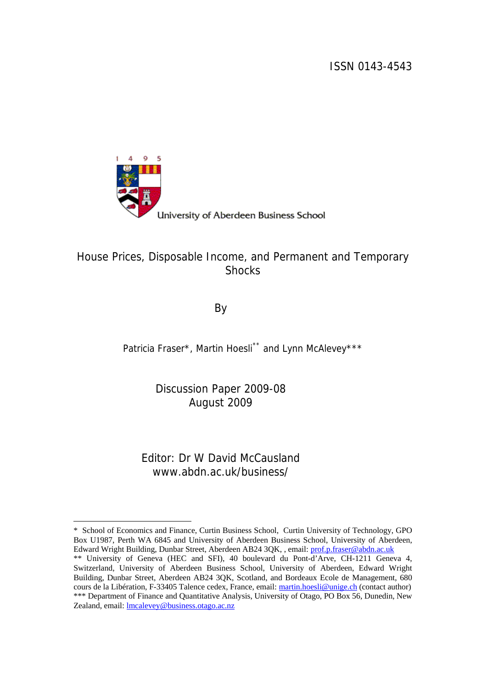ISSN 0143-4543



<u>.</u>

## University of Aberdeen Business School

## House Prices, Disposable Income, and Permanent and Temporary **Shocks**

By

Patricia Fraser\*, Martin Hoesli[\\*\\*](#page-0-0) and Lynn McAlevey\*\*\*

Discussion Paper 2009-08 August 2009

Editor: Dr W David McCausland www.abdn.ac.uk/business/

<span id="page-0-0"></span><sup>\*</sup> School of Economics and Finance, Curtin Business School, Curtin University of Technology, GPO Box U1987, Perth WA 6845 and University of Aberdeen Business School, University of Aberdeen, Edward Wright Building, Dunbar Street, Aberdeen AB24 3QK, , email: [prof.p.fraser@abdn.ac.uk](mailto:prof.p.fraser@abdn.ac.uk) 

<sup>\*\*</sup> University of Geneva (HEC and SFI), 40 boulevard du Pont-d'Arve, CH-1211 Geneva 4, Switzerland, University of Aberdeen Business School, University of Aberdeen, Edward Wright Building, Dunbar Street, Aberdeen AB24 3QK, Scotland, and Bordeaux Ecole de Management, 680 cours de la Libération, F-33405 Talence cedex, France, email: [martin.hoesli@unige.ch](mailto:martin.hoesli@unige.ch) (contact author) \*\*\* Department of Finance and Quantitative Analysis, University of Otago, PO Box 56, Dunedin, New Zealand, email: lmcalevey@business.otago.ac.nz